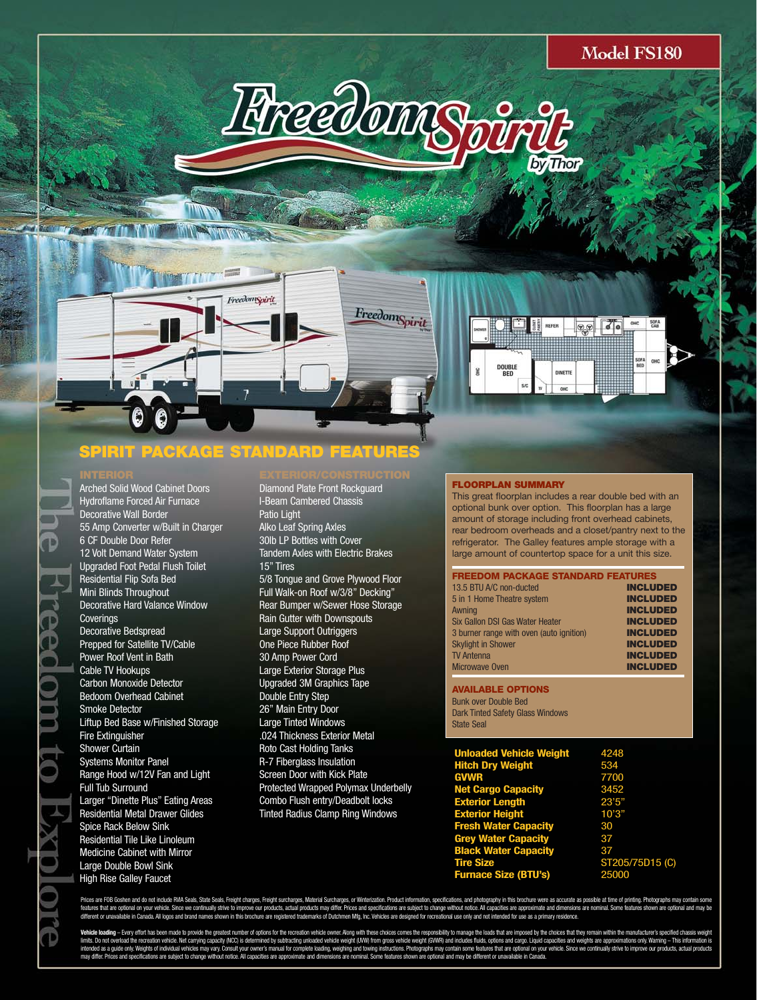$\sqrt{6}$ 

OHC.



**FreedomSpirit** 



### **SPIRIT PACKAGE STANDARD FEATURES**

FreedomSpirit

Arched Solid Wood Cabinet Doors Hydroflame Forced Air Furnace Decorative Wall Border 55 Amp Converter w/Built in Charger 6 CF Double Door Refer 12 Volt Demand Water System Upgraded Foot Pedal Flush Toilet Residential Flip Sofa Bed Mini Blinds Throughout Decorative Hard Valance Window **Coverings** Decorative Bedspread Prepped for Satellite TV/Cable Power Roof Vent in Bath Cable TV Hookups Carbon Monoxide Detector Bedoom Overhead Cabinet Smoke Detector Liftup Bed Base w/Finished Storage Fire Extinguisher Shower Curtain Systems Monitor Panel Range Hood w/12V Fan and Light Full Tub Surround Larger "Dinette Plus" Eating Areas Residential Metal Drawer Glides Spice Rack Below Sink Residential Tile Like Linoleum Medicine Cabinet with Mirror Large Double Bowl Sink High Rise Galley Faucet

Diamond Plate Front Rockguard I-Beam Cambered Chassis Patio Light Alko Leaf Spring Axles 30lb LP Bottles with Cover Tandem Axles with Electric Brakes 15" Tires 5/8 Tongue and Grove Plywood Floor Full Walk-on Roof w/3/8" Decking" Rear Bumper w/Sewer Hose Storage Rain Gutter with Downspouts Large Support Outriggers One Piece Rubber Roof 30 Amp Power Cord Large Exterior Storage Plus Upgraded 3M Graphics Tape Double Entry Step 26" Main Entry Door Large Tinted Windows .024 Thickness Exterior Metal Roto Cast Holding Tanks R-7 Fiberglass Insulation Screen Door with Kick Plate Protected Wrapped Polymax Underbelly Combo Flush entry/Deadbolt locks Tinted Radius Clamp Ring Windows

### **FLOORPLAN SUMMARY**

This great floorplan includes a rear double bed with an optional bunk over option. This floorplan has a large amount of storage including front overhead cabinets, rear bedroom overheads and a closet/pantry next to the refrigerator. The Galley features ample storage with a large amount of countertop space for a unit this size.

| <b>FREEDOM PACKAGE STANDARD FEATURES</b> |                 |
|------------------------------------------|-----------------|
| 13.5 BTU A/C non-ducted                  | <b>INCLUDED</b> |
| 5 in 1 Home Theatre system               | <b>INCLUDED</b> |
| Awning                                   | <b>INCLUDED</b> |
| Six Gallon DSI Gas Water Heater          | <b>INCLUDED</b> |
| 3 burner range with oven (auto ignition) | <b>INCLUDED</b> |
| <b>Skylight in Shower</b>                | <b>INCLUDED</b> |
| <b>TV Antenna</b>                        | <b>INCLUDED</b> |
| <b>Microwave Oven</b>                    | <b>INCLUDED</b> |

**AVAILABLE OPTIONS** Bunk over Double Bed Dark Tinted Safety Glass Windows State Seal

| <b>Unloaded Vehicle Weight</b> | 4248            |
|--------------------------------|-----------------|
| <b>Hitch Dry Weight</b>        | 534             |
| <b>GVWR</b>                    | 7700            |
| <b>Net Cargo Capacity</b>      | 3452            |
| <b>Exterior Length</b>         | 23'5''          |
| <b>Exterior Height</b>         | 10'3"           |
| <b>Fresh Water Capacity</b>    | 30              |
| <b>Grey Water Capacity</b>     | 37              |
| <b>Black Water Capacity</b>    | 37              |
| <b>Tire Size</b>               | ST205/75D15 (C) |
| <b>Furnace Size (BTU's)</b>    | 25000           |
|                                |                 |

Prices are FOB Goshen and do not include RNA Seals, State Seals, Freight charges, Freight surcharges, Material Surcharges, or Winterization. Product information, specifications, and photography in this brochure were as acc featurs that are optional on your which such that will yester that in the four products, and products are avend specifiations are subject to drapy without note. All and the membershand to membershand to endown and one of p

Vehicle bading - Evey offor has been made to provide the groutest mither of optoms for the recreation vehicle when Abony with these choics comes the responsibly to manage the local studies that will provide the moves when intended as quide only Weights dinvividues may vary. Consult your owner's manual for complete bading, weighing and twinity instructions. Photograps may contain some features than on the distrust and any be different or una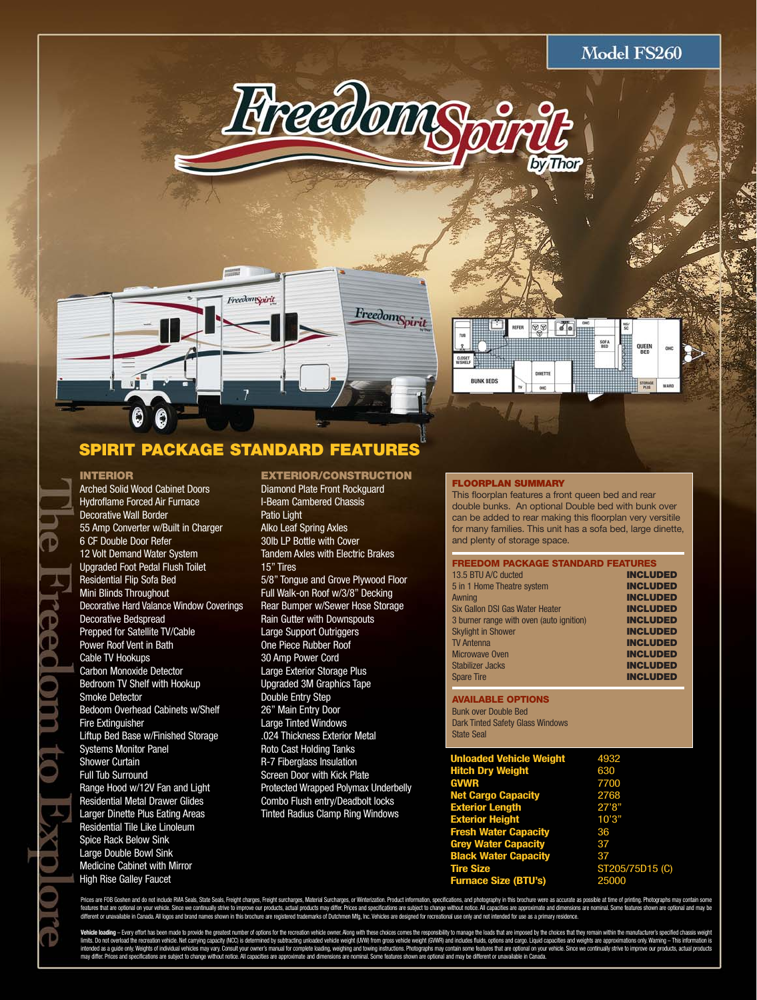





# **SPIRIT PACKAGE STANDARD FEATURES**

### **INTERIOR**

Arched Solid Wood Cabinet Doors Hydroflame Forced Air Furnace Decorative Wall Border 55 Amp Converter w/Built in Charger 6 CF Double Door Refer 12 Volt Demand Water System Upgraded Foot Pedal Flush Toilet Residential Flip Sofa Bed Mini Blinds Throughout Decorative Hard Valance Window Coverings Decorative Bedspread Prepped for Satellite TV/Cable Power Roof Vent in Bath Cable TV Hookups Carbon Monoxide Detector Bedroom TV Shelf with Hookup Smoke Detector Bedoom Overhead Cabinets w/Shelf Fire Extinguisher Liftup Bed Base w/Finished Storage Systems Monitor Panel Shower Curtain Full Tub Surround Range Hood w/12V Fan and Light Residential Metal Drawer Glides Larger Dinette Plus Eating Areas Residential Tile Like Linoleum Spice Rack Below Sink Large Double Bowl Sink Medicine Cabinet with Mirror High Rise Galley Faucet

### **EXTERIOR/CONSTRUCTION**

Diamond Plate Front Rockguard I-Beam Cambered Chassis Patio Light Alko Leaf Spring Axles 30lb LP Bottle with Cover Tandem Axles with Electric Brakes 15" Tires 5/8" Tongue and Grove Plywood Floor Full Walk-on Roof w/3/8" Decking Rear Bumper w/Sewer Hose Storage Rain Gutter with Downspouts Large Support Outriggers One Piece Rubber Roof 30 Amp Power Cord Large Exterior Storage Plus Upgraded 3M Graphics Tape Double Entry Step 26" Main Entry Door Large Tinted Windows .024 Thickness Exterior Metal Roto Cast Holding Tanks R-7 Fiberglass Insulation **Screen Door with Kick Plate** Protected Wrapped Polymax Underbelly Combo Flush entry/Deadbolt locks Tinted Radius Clamp Ring Windows

### **FLOORPLAN SUMMARY**

This floorplan features a front queen bed and rear double bunks. An optional Double bed with bunk over can be added to rear making this floorplan very versitile for many families. This unit has a sofa bed, large dinette, and plenty of storage space.

| <b>FREEDOM PACKAGE STANDARD FEATURES</b> |                 |
|------------------------------------------|-----------------|
| 13.5 BTU A/C ducted                      | <b>INCLUDED</b> |
| 5 in 1 Home Theatre system               | <b>INCLUDED</b> |
| Awning                                   | <b>INCLUDED</b> |
| Six Gallon DSI Gas Water Heater          | <b>INCLUDED</b> |
| 3 burner range with oven (auto ignition) | <b>INCLUDED</b> |
| <b>Skylight in Shower</b>                | <b>INCLUDED</b> |
| <b>TV Antenna</b>                        | <b>INCLUDED</b> |
| <b>Microwave Oven</b>                    | <b>INCLUDED</b> |
| Stabilizer Jacks                         | <b>INCLUDED</b> |
| <b>Spare Tire</b>                        | <b>INCLUDED</b> |

**AVAILABLE OPTIONS** Bunk over Double Bed Dark Tinted Safety Glass Windows State Seal

| 4932            |
|-----------------|
| 630             |
| 7700            |
| 2768            |
| 27'8''          |
| 10'3"           |
| 36              |
| 37              |
| 37              |
| ST205/75D15 (C) |
| 25000           |
|                 |

Prices are FOB Goshen and do not include RNA Seals, State Seals, Freight charges, Freight surcharges, Material Surcharges, or Winterization. Product information, specifications, and photography in this brochure were as acc eatures that are optional on your vehicle. Since we continually strive to improve our products, actual products may differ. Prices and specifications are subject to change without notice. All capacities are approximate and different or unavailable in Canada. All logos and brand names shown in this brochure are registered trademarks of Dutchmen Mfg, Inc. Vehicles are designed for recreational use only and not intended for use as a primary res

Vehicle loading - Every effort has been made to provide the greatest number of options for the recreation vehicle owner. Along with these choices comes the responsibility to manage the loads that are imposed by the choices limits. Do not overload the recreation vehicle. Net carrying capacity (NCC) is determined by subtracting unloaded vehicle weight (UWW) from gross vehicle weight (GWWR) and includes fluids, options and cargo. Liquid capacit intended as quide only Weights dinvividues may vary. Consult your owner's manual for complete bading, weighing and twinity instructions. Photograps may contain some features than on the distrust and any be different or una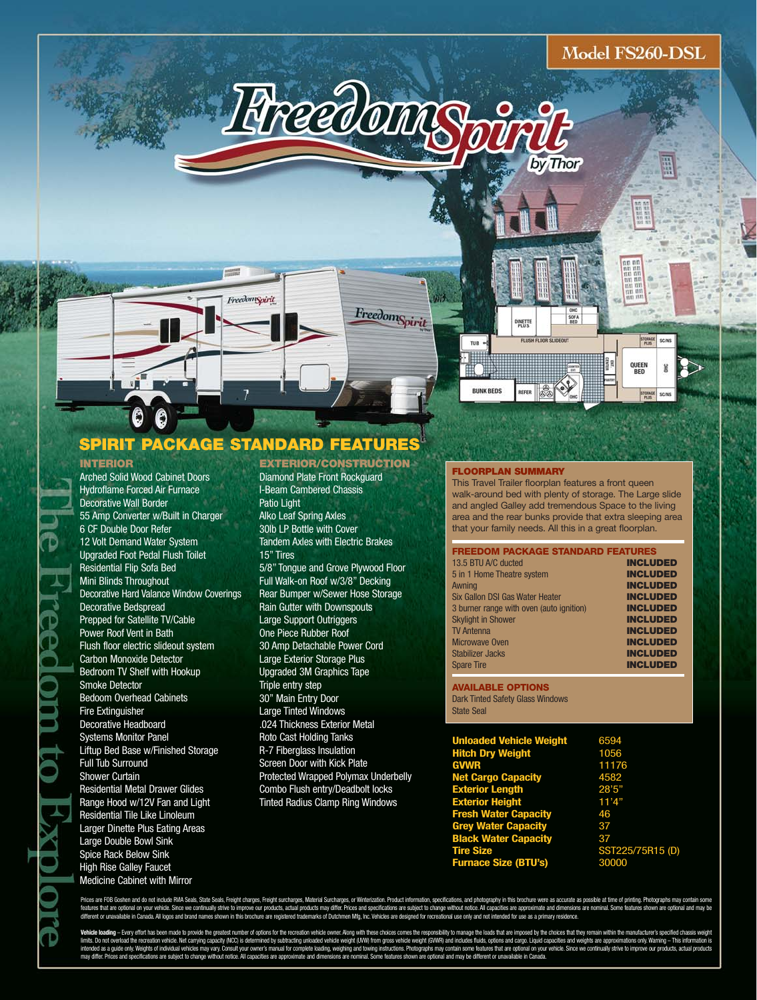# Model FS260-DSL



**FreedomSpirit** 



# **SPIRIT PACKAGE STANDARD FEATURES**

FreedomSpirit

#### **INTERIOR**

Arched Solid Wood Cabinet Doors Hydroflame Forced Air Furnace Decorative Wall Border 55 Amp Converter w/Built in Charger 6 CF Double Door Refer 12 Volt Demand Water System Upgraded Foot Pedal Flush Toilet Residential Flip Sofa Bed Mini Blinds Throughout Decorative Hard Valance Window Coverings Decorative Bedspread Prepped for Satellite TV/Cable Power Roof Vent in Bath Flush floor electric slideout system Carbon Monoxide Detector Bedroom TV Shelf with Hookup Smoke Detector Bedoom Overhead Cabinets Fire Extinguisher Decorative Headboard Systems Monitor Panel Liftup Bed Base w/Finished Storage Full Tub Surround Shower Curtain Residential Metal Drawer Glides Range Hood w/12V Fan and Light Residential Tile Like Linoleum Larger Dinette Plus Eating Areas Large Double Bowl Sink Spice Rack Below Sink High Rise Galley Faucet Medicine Cabinet with Mirror

### Diamond Plate Front Rockguard I-Beam Cambered Chassis Patio Light Alko Leaf Spring Axles 30lb LP Bottle with Cover Tandem Axles with Electric Brakes 15" Tires 5/8" Tongue and Grove Plywood Floor Full Walk-on Roof w/3/8" Decking Rear Bumper w/Sewer Hose Storage Rain Gutter with Downspouts Large Support Outriggers One Piece Rubber Roof 30 Amp Detachable Power Cord Large Exterior Storage Plus Upgraded 3M Graphics Tape Triple entry step 30" Main Entry Door Large Tinted Windows .024 Thickness Exterior Metal Roto Cast Holding Tanks R-7 Fiberglass Insulation Screen Door with Kick Plate Protected Wrapped Polymax Underbelly Combo Flush entry/Deadbolt locks

Tinted Radius Clamp Ring Windows

**EXTERIOR/CONSTRUCTION**

#### **FLOORPLAN SUMMARY**

This Travel Trailer floorplan features a front queen walk-around bed with plenty of storage. The Large slide and angled Galley add tremendous Space to the living area and the rear bunks provide that extra sleeping area that your family needs. All this in a great floorplan.

| <b>FREEDOM PACKAGE STANDARD FEATURES</b> |                 |
|------------------------------------------|-----------------|
| 13.5 BTU A/C ducted                      | <b>INCLUDED</b> |
| 5 in 1 Home Theatre system               | <b>INCLUDED</b> |
| Awning                                   | <b>INCLUDED</b> |
| Six Gallon DSI Gas Water Heater          | <b>INCLUDED</b> |
| 3 burner range with oven (auto ignition) | <b>INCLUDED</b> |
| <b>Skylight in Shower</b>                | <b>INCLUDED</b> |
| <b>TV Antenna</b>                        | <b>INCLUDED</b> |
| <b>Microwave Oven</b>                    | <b>INCLUDED</b> |
| Stabilizer Jacks                         | <b>INCLUDED</b> |
| <b>Spare Tire</b>                        | <b>INCLUDED</b> |

#### **AVAILABLE OPTIONS** Dark Tinted Safety Glass Windows State Seal

| <b>Unloaded Vehicle Weight</b> | 6594             |
|--------------------------------|------------------|
| <b>Hitch Dry Weight</b>        | 1056             |
| <b>GVWR</b>                    | 11176            |
| <b>Net Cargo Capacity</b>      | 4582             |
| <b>Exterior Length</b>         | 28'5''           |
| <b>Exterior Height</b>         | 11'4"            |
| <b>Fresh Water Capacity</b>    | 46               |
| <b>Grey Water Capacity</b>     | 37               |
| <b>Black Water Capacity</b>    | 37               |
| <b>Tire Size</b>               | SST225/75R15 (D) |
| <b>Furnace Size (BTU's)</b>    | 30000            |

ices are FOB Goshen and do not include RWA Seals. State Seals. Freight charges. Freight surcharges. Material Surcharges. or Winterization. Product information. specifications, and photography in this brochure were as accur res that are optional on your vehicle. Since we continually strive to improve our products, actual products may differ. Prices and specifications are subject to change without notice. All capacities are approximate and din different or unavailable in Canada. All logos and brand names shown in this brochure are registered trademarks of Dutchmen Mfg, Inc. Vehicles are designed for recreational use only and not intended for use as a primary res

Vehicle loading - Every effort has been made to provide the greatest number of options for the recreation vehicle owner. Along with these choices comes the responsibility to manage the loads that are imposed by the choices limits. Do not overload the recreation vehide. Net carrying capachy MC) is determined by subtracting unloaded vehide weight (UW) from gross vehide weight (UW) from diculties middle between starty considered and weights are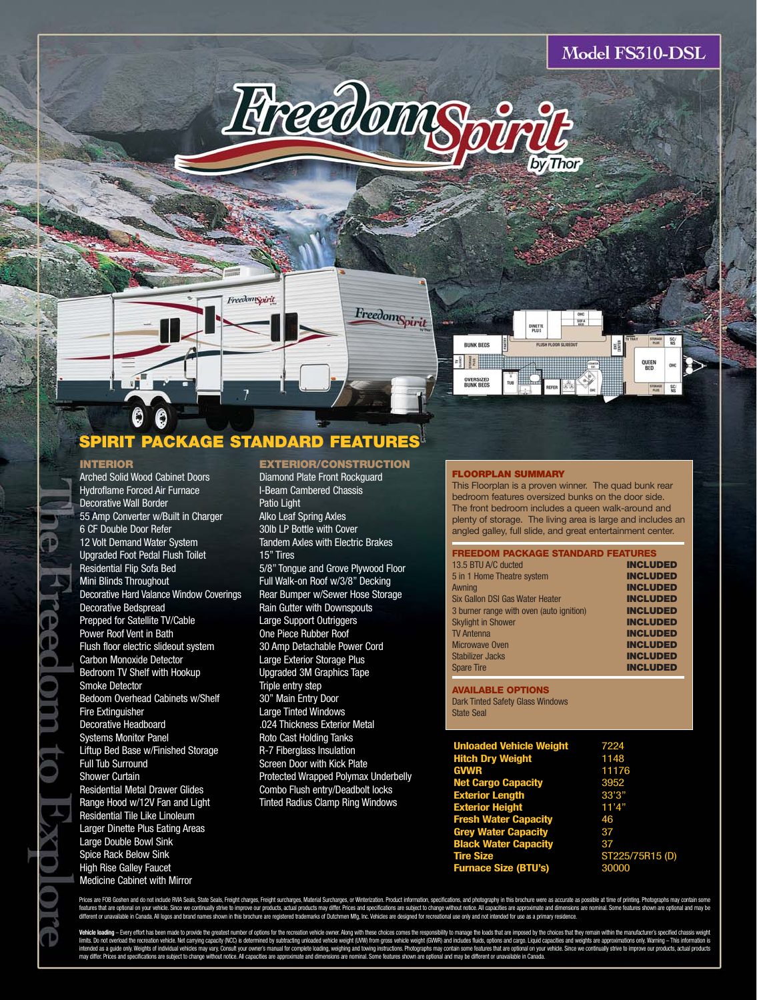



Model FS310-DSL

# **SPIRIT PACKAGE STANDARD FEATURES**

FreedomSpirit

#### **INTERIOR**

G

Arched Solid Wood Cabinet Doors Hydroflame Forced Air Furnace Decorative Wall Border 55 Amp Converter w/Built in Charger 6 CF Double Door Refer 12 Volt Demand Water System Upgraded Foot Pedal Flush Toilet Residential Flip Sofa Bed Mini Blinds Throughout Decorative Hard Valance Window Coverings Decorative Bedspread Prepped for Satellite TV/Cable Power Roof Vent in Bath Flush floor electric slideout system Carbon Monoxide Detector Bedroom TV Shelf with Hookup Smoke Detector Bedoom Overhead Cabinets w/Shelf Fire Extinguisher Decorative Headboard Systems Monitor Panel Liftup Bed Base w/Finished Storage Full Tub Surround Shower Curtain Residential Metal Drawer Glides Range Hood w/12V Fan and Light Residential Tile Like Linoleum Larger Dinette Plus Eating Areas Large Double Bowl Sink Spice Rack Below Sink High Rise Galley Faucet Medicine Cabinet with Mirror

### **EXTERIOR/CONSTRUCTION**

Diamond Plate Front Rockguard

I-Beam Cambered Chassis Patio Light Alko Leaf Spring Axles 30lb LP Bottle with Cover Tandem Axles with Electric Brakes 15" Tires 5/8" Tongue and Grove Plywood Floor Full Walk-on Roof w/3/8" Decking Rear Bumper w/Sewer Hose Storage Rain Gutter with Downspouts Large Support Outriggers One Piece Rubber Roof 30 Amp Detachable Power Cord Large Exterior Storage Plus Upgraded 3M Graphics Tape Triple entry step 30" Main Entry Door Large Tinted Windows .024 Thickness Exterior Metal Roto Cast Holding Tanks R-7 Fiberglass Insulation Screen Door with Kick Plate Protected Wrapped Polymax Underbelly Combo Flush entry/Deadbolt locks Tinted Radius Clamp Ring Windows

#### **FLOORPLAN SUMMARY**

This Floorplan is a proven winner. The quad bunk rear bedroom features oversized bunks on the door side. The front bedroom includes a queen walk-around and plenty of storage. The living area is large and includes an angled galley, full slide, and great entertainment center.

| <b>FREEDOM PACKAGE STANDARD FEATURES</b> |                 |
|------------------------------------------|-----------------|
| 13.5 BTU A/C ducted                      | <b>INCLUDED</b> |
| 5 in 1 Home Theatre system               | <b>INCLUDED</b> |
| Awning                                   | <b>INCLUDED</b> |
| Six Gallon DSI Gas Water Heater          | <b>INCLUDED</b> |
| 3 burner range with oven (auto ignition) | <b>INCLUDED</b> |
| <b>Skylight in Shower</b>                | <b>INCLUDED</b> |
| <b>TV Antenna</b>                        | <b>INCLUDED</b> |
| Microwave Oven                           | <b>INCLUDED</b> |
| Stabilizer Jacks                         | <b>INCLUDED</b> |
| <b>Spare Tire</b>                        | <b>INCLUDED</b> |
|                                          |                 |

**AVAILABLE OPTIONS** Dark Tinted Safety Glass Windows State Seal

| 7224            |
|-----------------|
| 1148            |
| 11176           |
| 3952            |
| 33'3"           |
| 11'4"           |
| 46              |
| 37              |
| 37              |
| ST225/75R15 (D) |
| 30000           |
|                 |

ces are FOB Goshen and do not include RWA Seals, State Seals, Freight charges, Freight surcharges, Material Surcharges, or Winterization. Product information, specifications, and photography in this brochure were as accura feature that are optional on your whild. Stree we continually strive to improve our products, actual products, and specifiations are subject to hange without notic. All streams to consider a supposite and improvimed in the

Vehicle bading - Evey offor has been nade to provide the gridset uniter of options for the recreaion vehicle wher. Nong with these choics comes the responsibly to manage the local that are imposed by the choics that when t intended as guide only Weights d'invividues may vary. Consult your owners manual for complete bading, weighing and twining instructions. Photograps may contain some features than an education and may be different or unavai